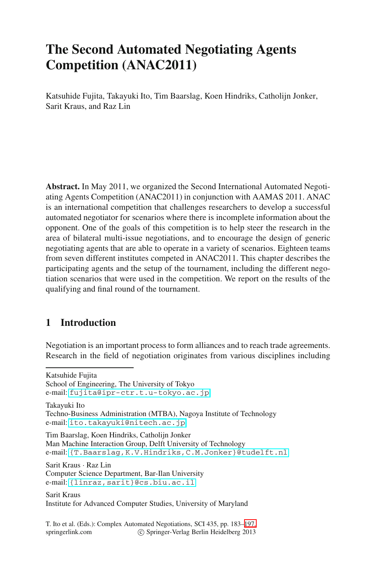# **The Second Automated Negotiating Agents Competition (ANAC2011)**

Katsuhide Fujita, Takayuki Ito, Tim Baarslag, Koen Hindriks, Catholijn Jonker, Sarit Kraus, and Raz Lin

**Abstract.** In May 2011, we organized the Second International Automated Negotiating Agents Competition (ANAC2011) in conjunction with AAMAS 2011. ANAC is an international competition that challenges researchers to develop a successful automated negotiator for scenarios where there is incomplete information about the opponent. One of the goals of this competition is to help steer the research in the area of bilateral multi-issue negotiations, and to encourage the design of generic negotiating agents that are able to operate in a variety of scenarios. Eighteen teams from seven different institutes competed in ANAC2011. This chapter describes the participating agents and the setup of the tournament, including the different negotiation scenarios that were used in the competition. We report on the results of the qualifying and final round of the tournament.

# **[1](fujita@ipr-ctr.t.u-tokyo.ac.jp) [Introduction](fujita@ipr-ctr.t.u-tokyo.ac.jp)**

[Negotiation is an impo](ito.takayuki@nitech.ac.jp)rtant process to form alliances and to reach trade agreements. Research in the field of negotiation originates from various disciplines including

```
Katsuhide Fujita
School of Engineering, The University of Tokyo
e-mail: fujita@ipr-ctr.t.u-tokyo.ac.jp
Takayuki Ito
Techno-Business Administration (MTBA), Nagoya Institute of Technology
e-mail: ito.takayuki@nitech.ac.jp
Tim Baarslag, Koen Hindriks, Catholijn Jonker
Man Machine Interaction Group, Delft University of Technology
e-mail: {T.Baarslag,K.V.Hindriks,C.M.Jonker}@tudelft.nl
Sarit Kraus · Raz Lin
Computer Science Department, Bar-Ilan University
e-mail: {linraz,sarit}@cs.biu.ac.il
Sarit Kraus
Institute for Advanced Computer Studies, University of Maryland
```
T. Ito et al. (Eds.): Complex Automated Negotiations, SCI 435, pp. 183–197. springerlink.com c Springer-Verlag Berlin Heidelberg 2013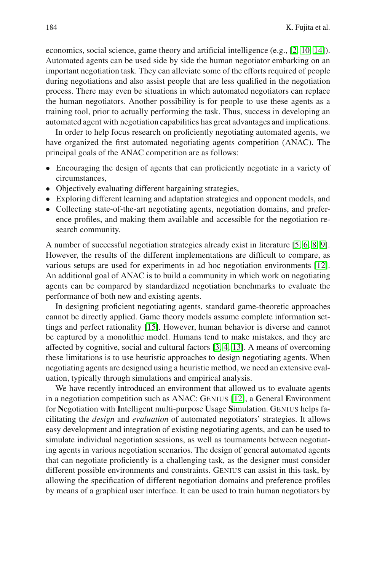economics, social science, game theory and artificial intelligence (e.g., [2, 10, 14]). Automated agents can be used side by side the human negotiator embarking on an important negotiation task. They can alleviate some of the efforts required of people during negotiations and also assist people that are less qualified in the negotiation process. There may even be situations in which automated negotiators can replace the human negotiators. Another possibility is for people to use these agents as a training tool, prior to actually performing the task. Thus, success in developing an automated agent with negotiation capabilities has great advantages and implications.

In order to help focus research on proficiently negotiating automated agents, we have organized the first automated negotiating agents competition (ANAC). The principal goals of the ANAC competition are as follows:

- Encouraging the design of agents that can proficiently negotiate in a variety of circumstances,
- Objectively evaluating different bargaining strategies,
- Exploring different learning and adaptation strategies and opponent models, and
- Collecting state-of-the-art negotiating agents, negotiation domains, and preference profiles, and making them available and accessible for the negotiation research community.

A number of successful negotiation strategies already exist in literature [5, 6, 8, 9]. However, the results of the different implementations are difficult to compare, as various setups are used for experiments in ad hoc negotiation environments [12]. An additional goal of ANAC is to build a community in which work on negotiating agents can be compared by standardized negotiation benchmarks to evaluate the performance of both new and existing agents.

In designing proficient negotiating agents, standard game-theoretic approaches cannot be directly applied. Game theory models assume complete information settings and perfect rationality [15]. However, human behavior is diverse and cannot be captured by a monolithic model. Humans tend to make mistakes, and they are affected by cognitive, social and cultural factors [3, 4, 13]. A means of overcoming these limitations is to use heuristic approaches to design negotiating agents. When negotiating agents are designed using a heuristic method, we need an extensive evaluation, typically through simulations and empirical analysis.

We have recently introduced an environment that allowed us to evaluate agents in a negotiation competition such as ANAC: GENIUS [12], a **G**eneral **E**nvironment for **N**egotiation with **I**ntelligent multi-purpose **U**sage **S**imulation. GENIUS helps facilitating the *design* and *evaluation* of automated negotiators' strategies. It allows easy development and integration of existing negotiating agents, and can be used to simulate individual negotiation sessions, as well as tournaments between negotiating agents in various negotiation scenarios. The design of general automated agents that can negotiate proficiently is a challenging task, as the designer must consider different possible environments and constraints. GENIUS can assist in this task, by allowing the specification of different negotiation domains and preference profiles by means of a graphical user interface. It can be used to train human negotiators by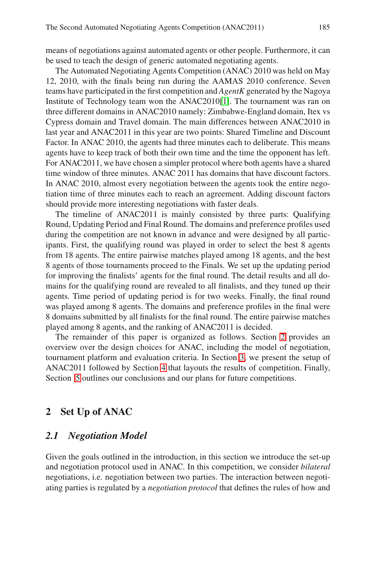means of negotiations against automated agents or other people. Furthermore, it can be used to teach the design of generic automated negotiating agents.

The Automated Negotiating Agents Competition (ANAC) 2010 was held on May 12, 2010, with the finals being run during the AAMAS 2010 conference. Seven teams have participated in the first competition and *AgentK* generated by the Nagoya Institute of Technology team won the ANAC2010[1]. The tournament was ran on three different domains in ANAC2010 namely: Zimbabwe-England domain, Itex vs Cypress domain and Travel domain. The main differences between ANAC2010 in last year and ANAC2011 in this year are two points: Shared Timeline and Discount Factor. In ANAC 2010, the agents had three minutes each to deliberate. This means agents have to keep track of both their own time and the time the opponent has left. For ANAC2011, we have chosen a simpler protocol where both agents have a shared time window of three minutes. ANAC 2011 has domains that have discount factors. In ANAC 2010, almost every negotiation between the agents took the entire negotiation time of three minutes each to reach an agreement. Adding discount factors should provide more interesting negotiations with faster deals.

The timeline of ANAC2011 is mainly consisted by three parts: Qualifying Round, Updating Period and Final Round. The domains and preference profiles used during the competition are not known in advance and were designed by all participants. First, the qualifying round was played in order to select the best 8 agents from 18 agents. The entire pairwise matches played among 18 agents, and the best 8 agents of those tournaments proceed to the Finals. We set up the updating period for improving the finalists' agents for the final round. The detail results and all domains for the qualifying round are revealed to all finalists, and they tuned up their agents. Time period of updating period is for two weeks. Finally, the final round was played among 8 agents. The domains and preference profiles in the final were 8 domains submitted by all finalists for the final round. The entire pairwise matches played among 8 agents, and the ranking of ANAC2011 is decided.

The remainder of this paper is organized as follows. Section 2 provides an overview over the design choices for ANAC, including the model of negotiation, tournament platform and evaluation criteria. In Section 3, we present the setup of ANAC2011 followed by Section 4 that layouts the results of competition. Finally, Section 5 outlines our conclusions and our plans for future competitions.

# **2 Set Up of ANAC**

# *2.1 Negotiation Model*

Given the goals outlined in the introduction, in this section we introduce the set-up and negotiation protocol used in ANAC. In this competition, we consider *bilateral* negotiations, i.e. negotiation between two parties. The interaction between negotiating parties is regulated by a *negotiation protocol* that defines the rules of how and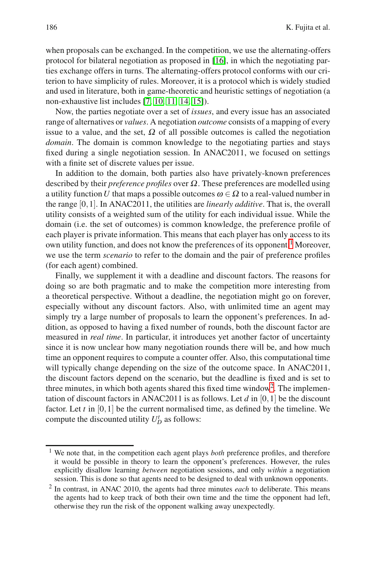when proposals can be exchanged. In the competition, we use the alternating-offers protocol for bilateral negotiation as proposed in [16], in which the negotiating parties exchange offers in turns. The alternating-offers protocol conforms with our criterion to have simplicity of rules. Moreover, it is a protocol which is widely studied and used in literature, both in game-theoretic and heuristic settings of negotiation (a non-exhaustive list includes [7, 10, 11, 14, 15]).

Now, the parties negotiate over a set of *issues*, and every issue has an associated range of alternatives or *values*. A negotiation *outcome* consists of a mapping of every issue to a value, and the set,  $\Omega$  of all possible outcomes is called the negotiation *domain*. The domain is common knowledge to the negotiating parties and stays fixed during a single negotiation session. In ANAC2011, we focused on settings with a finite set of discrete values per issue.

In addition to the domain, both parties also have privately-known preferences described by their *preference profiles* over <sup>Ω</sup>. These preferences are modelled using a utility function U that maps a possible outcomes  $\omega \in \Omega$  to a real-valued number in the range [0,1]. In ANAC2011, the utilities are *linearly additive*. That is, the overall utility consists of a weighted sum of the utility for each individual issue. While the domain (i.e. the set of outcomes) is common knowledge, the preference profile of each player is private information. This means that each player has only access to its own utility function, and does not know the preferences of its opponent.<sup>1</sup> Moreover, we use the term *scenario* to refer to the domain and the pair of preference profiles (for each agent) combined.

Finally, we supplement it with a deadline and discount factors. The reasons for doing so are both pragmatic and to make the competition more interesting from a theoretical perspective. Without a deadline, the negotiation might go on forever, especially without any discount factors. Also, with unlimited time an agent may simply try a large number of proposals to learn the opponent's preferences. In addition, as opposed to having a fixed number of rounds, both the discount factor are measured in *real time*. In particular, it introduces yet another factor of uncertainty since it is now unclear how many negotiation rounds there will be, and how much time an opponent requires to compute a counter offer. Also, this computational time will typically change depending on the size of the outcome space. In ANAC2011, the discount factors depend on the scenario, but the deadline is fixed and is set to three minutes, in which both agents shared this fixed time window<sup>2</sup>. The implementation of discount factors in ANAC2011 is as follows. Let *d* in [0,1] be the discount factor. Let  $t$  in [0, 1] be the current normalised time, as defined by the timeline. We compute the discounted utility  $U_D^t$  as follows:

We note that, in the competition each agent plays *both* preference profiles, and therefore it would be possible in theory to learn the opponent's preferences. However, the rules explicitly disallow learning *between* negotiation sessions, and only *within* a negotiation session. This is done so that agents need to be designed to deal with unknown opponents.

<sup>2</sup> In contrast, in ANAC 2010, the agents had three minutes *each* to deliberate. This means the agents had to keep track of both their own time and the time the opponent had left, otherwise they run the risk of the opponent walking away unexpectedly.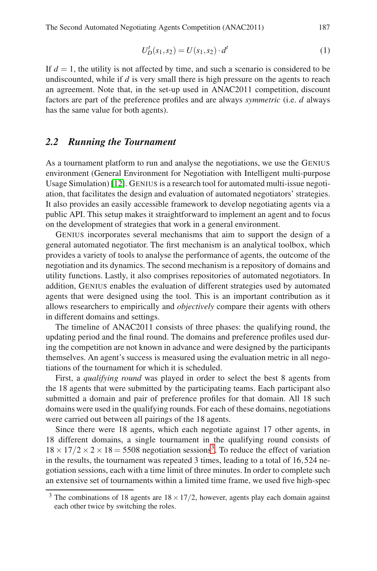The Second Automated Negotiating Agents Competition (ANAC2011) 187

$$
U_D^t(s_1, s_2) = U(s_1, s_2) \cdot d^t \tag{1}
$$

If  $d = 1$ , the utility is not affected by time, and such a scenario is considered to be undiscounted, while if *d* is very small there is high pressure on the agents to reach an agreement. Note that, in the set-up used in ANAC2011 competition, discount factors are part of the preference profiles and are always *symmetric* (i.e. *d* always has the same value for both agents).

# *2.2 Running the Tournament*

As a tournament platform to run and analyse the negotiations, we use the GENIUS environment (General Environment for Negotiation with Intelligent multi-purpose Usage Simulation) [12]. GENIUS is a research tool for automated multi-issue negotiation, that facilitates the design and evaluation of automated negotiators' strategies. It also provides an easily accessible framework to develop negotiating agents via a public API. This setup makes it straightforward to implement an agent and to focus on the development of strategies that work in a general environment.

GENIUS incorporates several mechanisms that aim to support the design of a general automated negotiator. The first mechanism is an analytical toolbox, which provides a variety of tools to analyse the performance of agents, the outcome of the negotiation and its dynamics. The second mechanism is a repository of domains and utility functions. Lastly, it also comprises repositories of automated negotiators. In addition, GENIUS enables the evaluation of different strategies used by automated agents that were designed using the tool. This is an important contribution as it allows researchers to empirically and *objectively* compare their agents with others in different domains and settings.

The timeline of ANAC2011 consists of three phases: the qualifying round, the updating period and the final round. The domains and preference profiles used during the competition are not known in advance and were designed by the participants themselves. An agent's success is measured using the evaluation metric in all negotiations of the tournament for which it is scheduled.

First, a *qualifying round* was played in order to select the best 8 agents from the 18 agents that were submitted by the participating teams. Each participant also submitted a domain and pair of preference profiles for that domain. All 18 such domains were used in the qualifying rounds. For each of these domains, negotiations were carried out between all pairings of the 18 agents.

Since there were 18 agents, which each negotiate against 17 other agents, in 18 different domains, a single tournament in the qualifying round consists of  $18 \times 17/2 \times 2 \times 18 = 5508$  negotiation sessions<sup>3</sup>. To reduce the effect of variation in the results, the tournament was repeated 3 times, leading to a total of 16,524 negotiation sessions, each with a time limit of three minutes. In order to complete such an extensive set of tournaments within a limited time frame, we used five high-spec

<sup>&</sup>lt;sup>3</sup> The combinations of 18 agents are  $18 \times 17/2$ , however, agents play each domain against each other twice by switching the roles.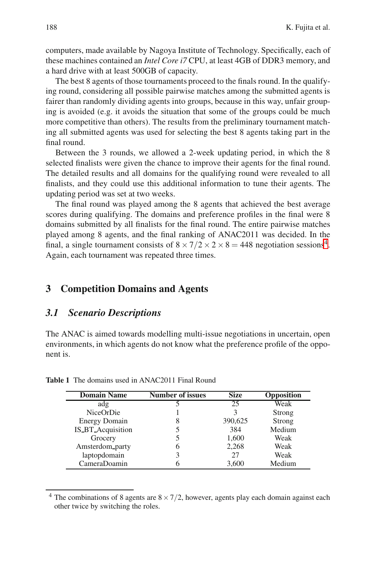computers, made available by Nagoya Institute of Technology. Specifically, each of these machines contained an *Intel Core i7* CPU, at least 4GB of DDR3 memory, and a hard drive with at least 500GB of capacity.

The best 8 agents of those tournaments proceed to the finals round. In the qualifying round, considering all possible pairwise matches among the submitted agents is fairer than randomly dividing agents into groups, because in this way, unfair grouping is avoided (e.g. it avoids the situation that some of the groups could be much more competitive than others). The results from the preliminary tournament matching all submitted agents was used for selecting the best 8 agents taking part in the final round.

Between the 3 rounds, we allowed a 2-week updating period, in which the 8 selected finalists were given the chance to improve their agents for the final round. The detailed results and all domains for the qualifying round were revealed to all finalists, and they could use this additional information to tune their agents. The updating period was set at two weeks.

The final round was played among the 8 agents that achieved the best average scores during qualifying. The domains and preference profiles in the final were 8 domains submitted by all finalists for the final round. The entire pairwise matches played among 8 agents, and the final ranking of ANAC2011 was decided. In the final, a single tournament consists of  $8 \times 7/2 \times 2 \times 8 = 448$  negotiation sessions<sup>4</sup>. Again, each tournament was repeated three times.

# **3 Competition Domains and Agents**

### *3.1 Scenario Descriptions*

The ANAC is aimed towards modelling multi-issue negotiations in uncertain, open environments, in which agents do not know what the preference profile of the opponent is.

| <b>Domain Name</b>   | <b>Number of issues</b> | <b>Size</b> | Opposition |
|----------------------|-------------------------|-------------|------------|
| adg                  |                         | 25          | Weak       |
| NiceOrDie            |                         |             | Strong     |
| <b>Energy Domain</b> |                         | 390,625     | Strong     |
| IS_BT_Acquisition    |                         | 384         | Medium     |
| Grocery              |                         | 1,600       | Weak       |
| Amsterdom_party      | h                       | 2.268       | Weak       |
| laptopdomain         |                         | 27          | Weak       |
| CameraDoamin         |                         | 3,600       | Medium     |

**Table 1** The domains used in ANAC2011 Final Round

The combinations of 8 agents are  $8 \times \frac{7}{2}$ , however, agents play each domain against each other twice by switching the roles.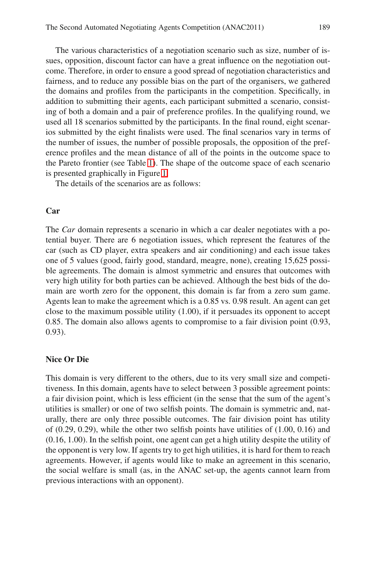The Second Automated Negotiating Agents Competition (ANAC2011) 189

The various characteristics of a negotiation scenario such as size, number of issues, opposition, discount factor can have a great influence on the negotiation outcome. Therefore, in order to ensure a good spread of negotiation characteristics and fairness, and to reduce any possible bias on the part of the organisers, we gathered the domains and profiles from the participants in the competition. Specifically, in addition to submitting their agents, each participant submitted a scenario, consisting of both a domain and a pair of preference profiles. In the qualifying round, we used all 18 scenarios submitted by the participants. In the final round, eight scenarios submitted by the eight finalists were used. The final scenarios vary in terms of the number of issues, the number of possible proposals, the opposition of the preference profiles and the mean distance of all of the points in the outcome space to the Pareto frontier (see Table 1). The shape of the outcome space of each scenario is presented graphically in Figure 1.

The details of the scenarios are as follows:

### **Car**

The *Car* domain represents a scenario in which a car dealer negotiates with a potential buyer. There are 6 negotiation issues, which represent the features of the car (such as CD player, extra speakers and air conditioning) and each issue takes one of 5 values (good, fairly good, standard, meagre, none), creating 15,625 possible agreements. The domain is almost symmetric and ensures that outcomes with very high utility for both parties can be achieved. Although the best bids of the domain are worth zero for the opponent, this domain is far from a zero sum game. Agents lean to make the agreement which is a 0.85 vs. 0.98 result. An agent can get close to the maximum possible utility (1.00), if it persuades its opponent to accept 0.85. The domain also allows agents to compromise to a fair division point (0.93, 0.93).

### **Nice Or Die**

This domain is very different to the others, due to its very small size and competitiveness. In this domain, agents have to select between 3 possible agreement points: a fair division point, which is less efficient (in the sense that the sum of the agent's utilities is smaller) or one of two selfish points. The domain is symmetric and, naturally, there are only three possible outcomes. The fair division point has utility of (0.29, 0.29), while the other two selfish points have utilities of (1.00, 0.16) and (0.16, 1.00). In the selfish point, one agent can get a high utility despite the utility of the opponent is very low. If agents try to get high utilities, it is hard for them to reach agreements. However, if agents would like to make an agreement in this scenario, the social welfare is small (as, in the ANAC set-up, the agents cannot learn from previous interactions with an opponent).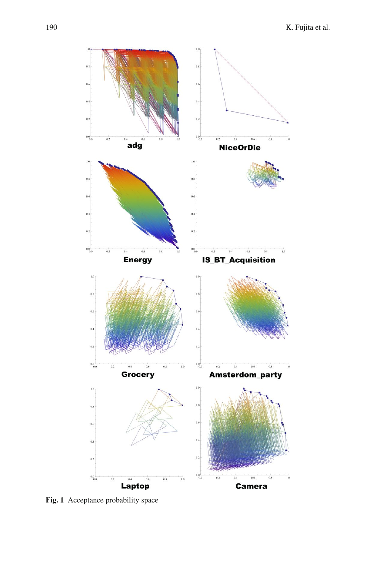

**Fig. 1** Acceptance probability space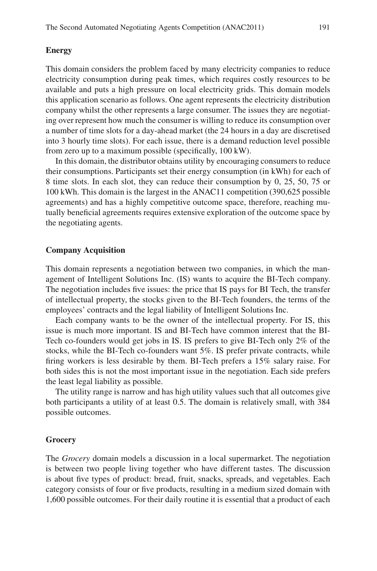#### **Energy**

This domain considers the problem faced by many electricity companies to reduce electricity consumption during peak times, which requires costly resources to be available and puts a high pressure on local electricity grids. This domain models this application scenario as follows. One agent represents the electricity distribution company whilst the other represents a large consumer. The issues they are negotiating over represent how much the consumer is willing to reduce its consumption over a number of time slots for a day-ahead market (the 24 hours in a day are discretised into 3 hourly time slots). For each issue, there is a demand reduction level possible from zero up to a maximum possible (specifically, 100 kW).

In this domain, the distributor obtains utility by encouraging consumers to reduce their consumptions. Participants set their energy consumption (in kWh) for each of 8 time slots. In each slot, they can reduce their consumption by 0, 25, 50, 75 or 100 kWh. This domain is the largest in the ANAC11 competition (390,625 possible agreements) and has a highly competitive outcome space, therefore, reaching mutually beneficial agreements requires extensive exploration of the outcome space by the negotiating agents.

#### **Company Acquisition**

This domain represents a negotiation between two companies, in which the management of Intelligent Solutions Inc. (IS) wants to acquire the BI-Tech company. The negotiation includes five issues: the price that IS pays for BI Tech, the transfer of intellectual property, the stocks given to the BI-Tech founders, the terms of the employees' contracts and the legal liability of Intelligent Solutions Inc.

Each company wants to be the owner of the intellectual property. For IS, this issue is much more important. IS and BI-Tech have common interest that the BI-Tech co-founders would get jobs in IS. IS prefers to give BI-Tech only 2% of the stocks, while the BI-Tech co-founders want 5%. IS prefer private contracts, while firing workers is less desirable by them. BI-Tech prefers a 15% salary raise. For both sides this is not the most important issue in the negotiation. Each side prefers the least legal liability as possible.

The utility range is narrow and has high utility values such that all outcomes give both participants a utility of at least 0.5. The domain is relatively small, with 384 possible outcomes.

#### **Grocery**

The *Grocery* domain models a discussion in a local supermarket. The negotiation is between two people living together who have different tastes. The discussion is about five types of product: bread, fruit, snacks, spreads, and vegetables. Each category consists of four or five products, resulting in a medium sized domain with 1,600 possible outcomes. For their daily routine it is essential that a product of each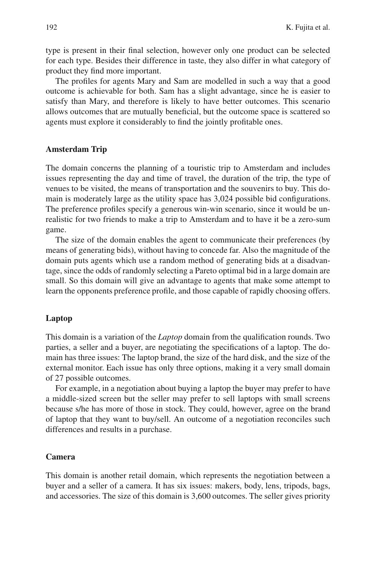type is present in their final selection, however only one product can be selected for each type. Besides their difference in taste, they also differ in what category of product they find more important.

The profiles for agents Mary and Sam are modelled in such a way that a good outcome is achievable for both. Sam has a slight advantage, since he is easier to satisfy than Mary, and therefore is likely to have better outcomes. This scenario allows outcomes that are mutually beneficial, but the outcome space is scattered so agents must explore it considerably to find the jointly profitable ones.

#### **Amsterdam Trip**

The domain concerns the planning of a touristic trip to Amsterdam and includes issues representing the day and time of travel, the duration of the trip, the type of venues to be visited, the means of transportation and the souvenirs to buy. This domain is moderately large as the utility space has 3,024 possible bid configurations. The preference profiles specify a generous win-win scenario, since it would be unrealistic for two friends to make a trip to Amsterdam and to have it be a zero-sum game.

The size of the domain enables the agent to communicate their preferences (by means of generating bids), without having to concede far. Also the magnitude of the domain puts agents which use a random method of generating bids at a disadvantage, since the odds of randomly selecting a Pareto optimal bid in a large domain are small. So this domain will give an advantage to agents that make some attempt to learn the opponents preference profile, and those capable of rapidly choosing offers.

#### **Laptop**

This domain is a variation of the *Laptop* domain from the qualification rounds. Two parties, a seller and a buyer, are negotiating the specifications of a laptop. The domain has three issues: The laptop brand, the size of the hard disk, and the size of the external monitor. Each issue has only three options, making it a very small domain of 27 possible outcomes.

For example, in a negotiation about buying a laptop the buyer may prefer to have a middle-sized screen but the seller may prefer to sell laptops with small screens because s/he has more of those in stock. They could, however, agree on the brand of laptop that they want to buy/sell. An outcome of a negotiation reconciles such differences and results in a purchase.

#### **Camera**

This domain is another retail domain, which represents the negotiation between a buyer and a seller of a camera. It has six issues: makers, body, lens, tripods, bags, and accessories. The size of this domain is 3,600 outcomes. The seller gives priority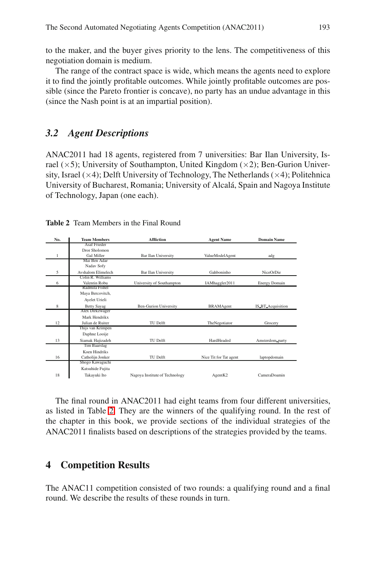to the maker, and the buyer gives priority to the lens. The competitiveness of this negotiation domain is medium.

The range of the contract space is wide, which means the agents need to explore it to find the jointly profitable outcomes. While jointly profitable outcomes are possible (since the Pareto frontier is concave), no party has an undue advantage in this (since the Nash point is at an impartial position).

# *3.2 Agent Descriptions*

ANAC2011 had 18 agents, registered from 7 universities: Bar Ilan University, Israel ( $\times$ 5); University of Southampton, United Kingdom ( $\times$ 2); Ben-Gurion University, Israel ( $\times$ 4); Delft University of Technology, The Netherlands ( $\times$ 4); Politehnica University of Bucharest, Romania; University of Alcalá, Spain and Nagoya Institute of Technology, Japan (one each).

|  |  |  | <b>Table 2</b> Team Members in the Final Round |
|--|--|--|------------------------------------------------|
|--|--|--|------------------------------------------------|

| No. | <b>Team Members</b> | <b>Affliction</b>              | <b>Agent Name</b>      | <b>Domain Name</b>   |
|-----|---------------------|--------------------------------|------------------------|----------------------|
|     | Asaf Frieder        |                                |                        |                      |
|     | Dror Sholomon       |                                |                        |                      |
| 1   | Gal Miller          | Bar Ilan University            | ValueModelAgent        | adg                  |
|     | Mai Ben Adar        |                                |                        |                      |
|     | Nadav Sofy          |                                |                        |                      |
| 5   | Avshalom Elimelech  | Bar Ilan University            | Gahboninho             | NiceOrDie            |
|     | Colin R. Williams   |                                |                        |                      |
| 6   | Valentin Robu       | University of Southampton      | IAMhaggler2011         | <b>Energy Domain</b> |
|     | Radmila Fishel      |                                |                        |                      |
|     | Maya Bercovitch,    |                                |                        |                      |
|     | Ayelet Urieli       |                                |                        |                      |
| 8   | <b>Betty Sayag</b>  | <b>Ben-Gurion University</b>   | BRAMAgent              | IS BT Acquisition    |
|     | Alex Dirkzwager     |                                |                        |                      |
|     | Mark Hendrikx       |                                |                        |                      |
| 12  | Julian de Ruiter    | TU Delft                       | TheNegotiator          | Grocery              |
|     | Thijs van Krimpen   |                                |                        |                      |
|     | Daphne Looije       |                                |                        |                      |
| 13  | Siamak Hajizadeh    | TU Delft                       | HardHeaded             | Amsterdom party      |
|     | Tim Baarslag        |                                |                        |                      |
|     | Koen Hindriks       |                                |                        |                      |
| 16  | Catholijn Jonker    | TU Delft                       | Nice Tit for Tat agent | laptopdomain         |
|     | Shogo Kawaguchi     |                                |                        |                      |
|     | Katsuhide Fujita    |                                |                        |                      |
| 18  | Takayuki Ito        | Nagoya Institute of Technology | Agent <sub>K2</sub>    | CameraDoamin         |

The final round in ANAC2011 had eight teams from four different universities, as listed in Table 2. They are the winners of the qualifying round. In the rest of the chapter in this book, we provide sections of the individual strategies of the ANAC2011 finalists based on descriptions of the strategies provided by the teams.

# **4 Competition Results**

The ANAC11 competition consisted of two rounds: a qualifying round and a final round. We describe the results of these rounds in turn.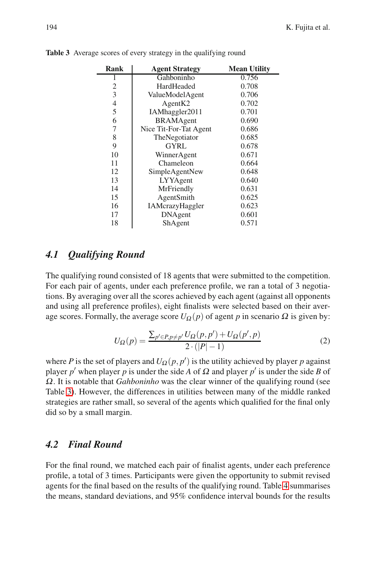| Rank | <b>Agent Strategy</b>  | <b>Mean Utility</b> |
|------|------------------------|---------------------|
|      | Gahboninho             | 0.756               |
| 2    | HardHeaded             | 0.708               |
| 3    | ValueModelAgent        | 0.706               |
| 4    | Agent <sub>K2</sub>    | 0.702               |
| 5    | IAMhaggler2011         | 0.701               |
| 6    | <b>BRAMAgent</b>       | 0.690               |
| 7    | Nice Tit-For-Tat Agent | 0.686               |
| 8    | TheNegotiator          | 0.685               |
| 9    | GYRL                   | 0.678               |
| 10   | WinnerAgent            | 0.671               |
| 11   | Chameleon              | 0.664               |
| 12   | SimpleAgentNew         | 0.648               |
| 13   | LYYAgent               | 0.640               |
| 14   | MrFriendly             | 0.631               |
| 15   | AgentSmith             | 0.625               |
| 16   | IAMcrazyHaggler        | 0.623               |
| 17   | <b>DNAgent</b>         | 0.601               |
| 18   | ShAgent                | 0.571               |

**Table 3** Average scores of every strategy in the qualifying round

# *4.1 Qualifying Round*

The qualifying round consisted of 18 agents that were submitted to the competition. For each pair of agents, under each preference profile, we ran a total of 3 negotiations. By averaging over all the scores achieved by each agent (against all opponents and using all preference profiles), eight finalists were selected based on their average scores. Formally, the average score  $U_{\Omega}(p)$  of agent *p* in scenario  $\Omega$  is given by:

$$
U_{\Omega}(p) = \frac{\sum_{p' \in P, p \neq p'} U_{\Omega}(p, p') + U_{\Omega}(p', p)}{2 \cdot (|P| - 1)}\tag{2}
$$

where *P* is the set of players and  $U_{\Omega}(p, p')$  is the utility achieved by player *p* against player *p*<sup> $\prime$ </sup> when player *p* is under the side *A* of  $\Omega$  and player *p*<sup> $\prime$ </sup> is under the side *B* of <sup>Ω</sup>. It is notable that *Gahboninho* was the clear winner of the qualifying round (see Table 3). However, the differences in utilities between many of the middle ranked strategies are rather small, so several of the agents which qualified for the final only did so by a small margin.

# *4.2 Final Round*

For the final round, we matched each pair of finalist agents, under each preference profile, a total of 3 times. Participants were given the opportunity to submit revised agents for the final based on the results of the qualifying round. Table 4 summarises the means, standard deviations, and 95% confidence interval bounds for the results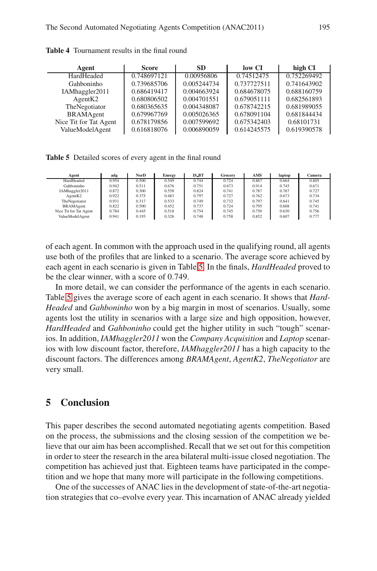The Second Automated Negotiating Agents Competition (ANAC2011) 195

| <b>Table 4</b> Tournament results in the final round |  |  |
|------------------------------------------------------|--|--|
|                                                      |  |  |

| Agent                  | <b>Score</b> | <b>SD</b>   | low CI      | high CI     |
|------------------------|--------------|-------------|-------------|-------------|
| HardHeaded             | 0.748697121  | 0.00956806  | 0.74512475  | 0.752269492 |
| Gahboninho             | 0.739685706  | 0.005244734 | 0.737727511 | 0.741643902 |
| IAMhaggler2011         | 0.686419417  | 0.004663924 | 0.684678075 | 0.688160759 |
| $A$ gent $K2$          | 0.680806502  | 0.004701551 | 0.679051111 | 0.682561893 |
| TheNegotiator          | 0.680365635  | 0.004348087 | 0.678742215 | 0.681989055 |
| <b>BRAMAgent</b>       | 0.679967769  | 0.005026365 | 0.678091104 | 0.681844434 |
| Nice Tit for Tat Agent | 0.678179856  | 0.007599692 | 0.675342403 | 0.68101731  |
| ValueModelAgent        | 0.616818076  | 0.006890059 | 0.614245575 | 0.619390578 |

**Table 5** Detailed scores of every agent in the final round

| Agent                  | adg   | NorD  | Energy | <b>IS_BT</b> | Grocery | AMS   | laptop | Camera |
|------------------------|-------|-------|--------|--------------|---------|-------|--------|--------|
| HardHeaded             | 0.954 | 0.500 | 0.549  | 0.744        | 0.724   | 0.867 | 0.664  | 0.805  |
| Gahboninho             | 0.942 | 0.511 | 0.676  | 0.751        | 0.673   | 0.914 | 0.745  | 0.671  |
| IAMhaggler2011         | 0.872 | 0.300 | 0.558  | 0.824        | 0.741   | 0.787 | 0.767  | 0.727  |
| Agent <sub>K2</sub>    | 0.922 | 0.375 | 0.483  | 0.797        | 0.727   | 0.762 | 0.673  | 0.734  |
| TheNegotiator          | 0.931 | 0.317 | 0.533  | 0.749        | 0.732   | 0.797 | 0.641  | 0.745  |
| BRAMAgent              | 0.822 | 0.500 | 0.452  | 0.737        | 0.724   | 0.795 | 0.608  | 0.741  |
| Nice Tit for Tat Agent | 0.784 | 0.445 | 0.518  | 0.754        | 0.745   | 0.750 | 0.630  | 0.756  |
| ValueModelAgent        | 0.941 | 0.193 | 0.326  | 0.748        | 0.758   | 0.852 | 0.607  | 0.777  |

of each agent. In common with the approach used in the qualifying round, all agents use both of the profiles that are linked to a scenario. The average score achieved by each agent in each scenario is given in Table 5. In the finals, *HardHeaded* proved to be the clear winner, with a score of 0.749.

In more detail, we can consider the performance of the agents in each scenario. Table 5 gives the average score of each agent in each scenario. It shows that *Hard-Headed* and *Gahboninho* won by a big margin in most of scenarios. Usually, some agents lost the utility in scenarios with a large size and high opposition, however, *HardHeaded* and *Gahboninho* could get the higher utility in such "tough" scenarios. In addition, *IAMhaggler2011* won the *Company Acquisition* and *Laptop* scenarios with low discount factor, therefore, *IAMhaggler2011* has a high capacity to the discount factors. The differences among *BRAMAgent*, *AgentK2*, *TheNegotiator* are very small.

# **5 Conclusion**

This paper describes the second automated negotiating agents competition. Based on the process, the submissions and the closing session of the competition we believe that our aim has been accomplished. Recall that we set out for this competition in order to steer the research in the area bilateral multi-issue closed negotiation. The competition has achieved just that. Eighteen teams have participated in the competition and we hope that many more will participate in the following competitions.

One of the successes of ANAC lies in the development of state-of-the-art negotiation strategies that co–evolve every year. This incarnation of ANAC already yielded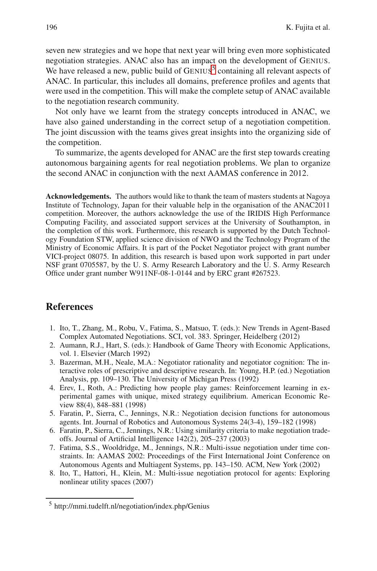seven new strategies and we hope that next year will bring even more sophisticated negotiation strategies. ANAC also has an impact on the development of GENIUS. We have released a new, public build of  $GENIUS<sup>5</sup>$  containing all relevant aspects of ANAC. In particular, this includes all domains, preference profiles and agents that were used in the competition. This will make the complete setup of ANAC available to the negotiation research community.

Not only have we learnt from the strategy concepts introduced in ANAC, we have also gained understanding in the correct setup of a negotiation competition. The joint discussion with the teams gives great insights into the organizing side of the competition.

To summarize, the agents developed for ANAC are the first step towards creating autonomous bargaining agents for real negotiation problems. We plan to organize the second ANAC in conjunction with the next AAMAS conference in 2012.

**Acknowledgements.** The authors would like to thank the team of masters students at Nagoya Institute of Technology, Japan for their valuable help in the organisation of the ANAC2011 competition. Moreover, the authors acknowledge the use of the IRIDIS High Performance Computing Facility, and associated support services at the University of Southampton, in the completion of this work. Furthermore, this research is supported by the Dutch Technology Foundation STW, applied science division of NWO and the Technology Program of the Ministry of Economic Affairs. It is part of the Pocket Negotiator project with grant number VICI-project 08075. In addition, this research is based upon work supported in part under NSF grant 0705587, by the U. S. Army Research Laboratory and the U. S. Army Research Office under grant number W911NF-08-1-0144 and by ERC grant #267523.

# **References**

- 1. Ito, T., Zhang, M., Robu, V., Fatima, S., Matsuo, T. (eds.): New Trends in Agent-Based Complex Automated Negotiations. SCI, vol. 383. Springer, Heidelberg (2012)
- 2. Aumann, R.J., Hart, S. (eds.): Handbook of Game Theory with Economic Applications, vol. 1. Elsevier (March 1992)
- 3. Bazerman, M.H., Neale, M.A.: Negotiator rationality and negotiator cognition: The interactive roles of prescriptive and descriptive research. In: Young, H.P. (ed.) Negotiation Analysis, pp. 109–130. The University of Michigan Press (1992)
- 4. Erev, I., Roth, A.: Predicting how people play games: Reinforcement learning in experimental games with unique, mixed strategy equilibrium. American Economic Review 88(4), 848–881 (1998)
- 5. Faratin, P., Sierra, C., Jennings, N.R.: Negotiation decision functions for autonomous agents. Int. Journal of Robotics and Autonomous Systems 24(3-4), 159–182 (1998)
- 6. Faratin, P., Sierra, C., Jennings, N.R.: Using similarity criteria to make negotiation tradeoffs. Journal of Artificial Intelligence 142(2), 205–237 (2003)
- 7. Fatima, S.S., Wooldridge, M., Jennings, N.R.: Multi-issue negotiation under time constraints. In: AAMAS 2002: Proceedings of the First International Joint Conference on Autonomous Agents and Multiagent Systems, pp. 143–150. ACM, New York (2002)
- 8. Ito, T., Hattori, H., Klein, M.: Multi-issue negotiation protocol for agents: Exploring nonlinear utility spaces (2007)

<sup>5</sup> http://mmi.tudelft.nl/negotiation/index.php/Genius